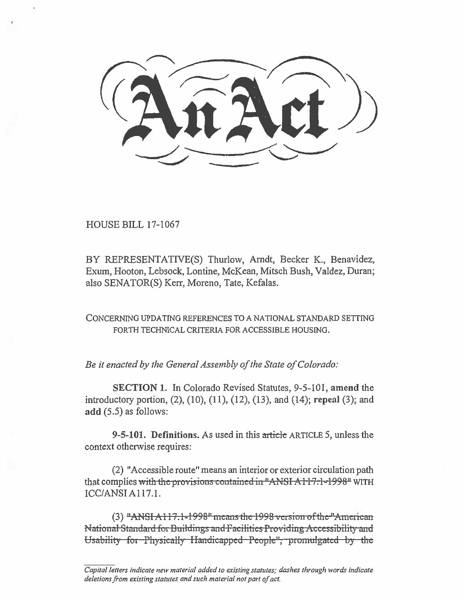**HOUSE BILL 17-1067** 

BY REPRESENTATIVE(S) Thurlow, Arndt, Becker K., Benavidez, Exum, Hooton, Lebsock, Lontine, McKean, Mitsch Bush, Valdez, Duran; also SENATOR(S) Kerr, Moreno, Tate, Kefalas.

CONCERNING UPDATING REFERENCES TO A NATIONAL STANDARD SETTING FORTH TECHNICAL CRITERIA FOR ACCESSIBLE HOUSING.

Be it enacted by the General Assembly of the State of Colorado:

**SECTION 1.** In Colorado Revised Statutes, 9-5-101, amend the introductory portion, (2), (10), (11), (12), (13), and (14); repeal (3); and  $add(5.5)$  as follows:

9-5-101. Definitions. As used in this article ARTICLE 5, unless the context otherwise requires:

(2) "Accessible route" means an interior or exterior circulation path that complies with the provisions contained in "ANSI A117.1-1998" WITH ICC/ANSI A117.1.

 $(3)$  "ANSI A117.1-1998" means the 1998 version of the "American National Standard for Buildings and Facilities Providing Accessibility and Usability for Physically Handicapped People", promulgated by the

Capital letters indicate new material added to existing statutes; dashes through words indicate deletions from existing statutes and such material not part of act.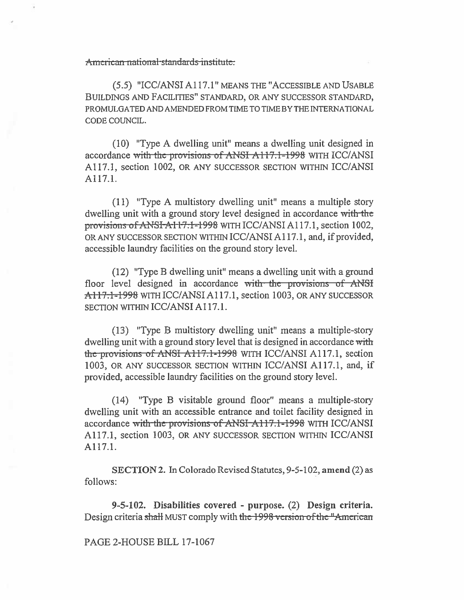American national standards institute:

(5.5) "ICC/ANSI A117.1" MEANS THE "ACCESSIBLE AND USABLE BUILDINGS AND FACILITIES" STANDARD, OR ANY SUCCESSOR STANDARD, PROMULGATED AND AMENDED FROM TIME TO TIME BY THE INTERNATIONAL CODE COUNCIL.

(10) "Type A dwelling unit" means a dwelling unit designed in accordance with the provisions of ANSI A117.1-1998 WITH ICC/ANSI A117.1, section 1002, OR ANY SUCCESSOR SECTION WITHIN ICC/ANSI A117.1.

(11) "Type A multistory dwelling unit" means a multiple story dwelling unit with a ground story level designed in accordance with the provisions of ANSI-A117.1-1998 WITH ICC/ANSI A117.1, section 1002, OR ANY SUCCESSOR SECTION WITHIN ICC/ANSI A117.1, and, if provided, accessible laundry facilities on the ground story level.

(12) "Type B dwelling unit" means a dwelling unit with a ground floor level designed in accordance with the provisions of ANSI A117.1-1998 WITH ICC/ANSI A117.1, section 1003, OR ANY SUCCESSOR SECTION WITHIN ICC/ANSI A117.1.

(13) "Type B multistory dwelling unit" means a multiple-story dwelling unit with a ground story level that is designed in accordance with the provisions of ANSI A117.1-1998 WITH ICC/ANSI A117.1, section 1003, OR ANY SUCCESSOR SECTION WITHIN ICC/ANSI A117.1, and, if provided, accessible laundry facilities on the ground story level.

(14) "Type B visitable ground floor" means a multiple-story dwelling unit with an accessible entrance and toilet facility designed in accordance with the provisions of ANSI A117.1-1998 WITH ICC/ANSI A117.1, section 1003, OR ANY SUCCESSOR SECTION WITHIN ICC/ANSI A117.1.

SECTION 2. In Colorado Revised Statutes, 9-5-102, **amend** (2) as follows:

**9-5-102. Disabilities covered - purpose.** (2) **Design criteria.**  Design criteria shall MUST comply with the 1998 version of the "American

PAGE 2-HOUSE BILL 17-1067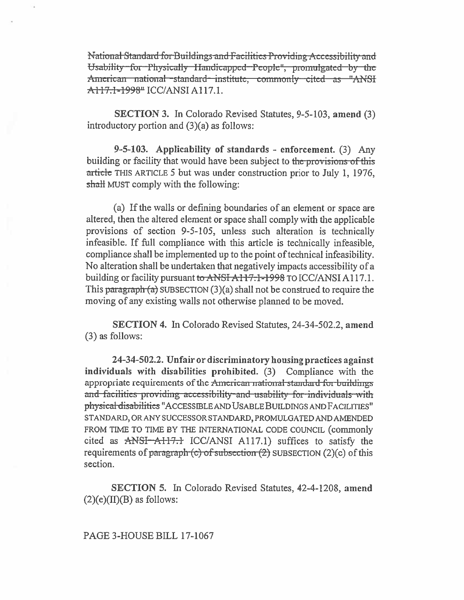National Standard for Buildings and Facilities Providing Accessibility and Usability for Physically Handicapped People", promulgated by the American national standard institute, commonly cited as "ANSI A117.1-1998" ICC/ANSI A117.1.

**SECTION 3.** In Colorado Revised Statutes, 9-5-103, amend (3) introductory portion and  $(3)(a)$  as follows:

9-5-103. Applicability of standards - enforcement. (3) Any building or facility that would have been subject to the provisions of this article THIS ARTICLE 5 but was under construction prior to July 1, 1976, shall MUST comply with the following:

(a) If the walls or defining boundaries of an element or space are altered, then the altered element or space shall comply with the applicable provisions of section 9-5-105, unless such alteration is technically infeasible. If full compliance with this article is technically infeasible, compliance shall be implemented up to the point of technical infeasibility. No alteration shall be undertaken that negatively impacts accessibility of a building or facility pursuant to ANSI A117.1-1998 TO ICC/ANSI A117.1. This paragraph  $(a)$  SUBSECTION  $(3)(a)$  shall not be construed to require the moving of any existing walls not otherwise planned to be moved.

SECTION 4. In Colorado Revised Statutes, 24-34-502.2, amend  $(3)$  as follows:

24-34-502.2. Unfair or discriminatory housing practices against individuals with disabilities prohibited. (3) Compliance with the appropriate requirements of the American national standard for buildings and facilities providing accessibility and usability for individuals with physical disabilities "ACCESSIBLE AND USABLE BUILDINGS AND FACILITIES" STANDARD, OR ANY SUCCESSOR STANDARD, PROMULGATED AND AMENDED FROM TIME TO TIME BY THE INTERNATIONAL CODE COUNCIL (commonly cited as ANSI-AH7.1 ICC/ANSI A117.1) suffices to satisfy the requirements of paragraph  $(c)$  of subsection  $(2)$  SUBSECTION  $(2)(c)$  of this section.

**SECTION 5.** In Colorado Revised Statutes, 42-4-1208, amend  $(2)(e)(II)(B)$  as follows:

PAGE 3-HOUSE BILL 17-1067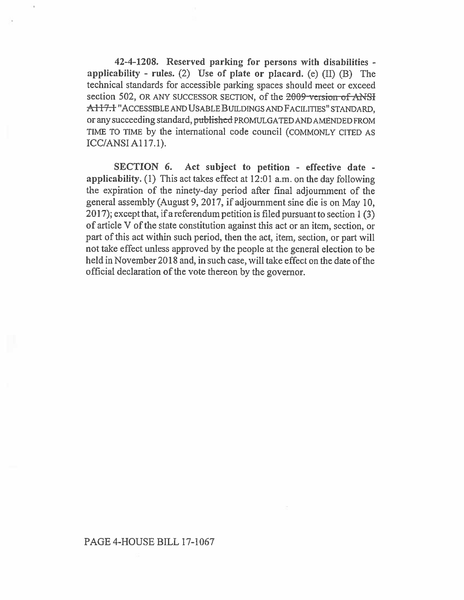**42-4-1208. Reserved parking for persons with disabilities applicability - rules.** (2) **Use of plate or placard.** (e) (II) **(B)** The technical standards for accessible parking spaces should meet or exceed section 502, OR ANY SUCCESSOR SECTION, of the 2009 version of ANSI A117.1 "ACCESSIBLE AND USABLE **BUILDINGS** AND FACILITIES" STANDARD, or any succeeding standard, published PROMULGATED AND AMENDED FROM TIME TO TIME by the international code council (COMMONLY CITED AS ICC/ANSI A117.1).

**SECTION 6. Act subject to petition - effective date applicability.** (1) This act takes effect at 12:01 a.m. on the day following the expiration of the ninety-day period after final adjournment of the general assembly (August 9, 2017, if adjournment sine die is on May 10, 2017); except that, if a referendum petition is filed pursuant to section 1 (3) of article V of the state constitution against this act or an item, section, or part of this **act** within such period, then the act, item, section, or part will not take effect unless approved by the people at the general election to be held in November 2018 and, in such case, will take effect on the date of the official declaration of the vote thereon by the governor.